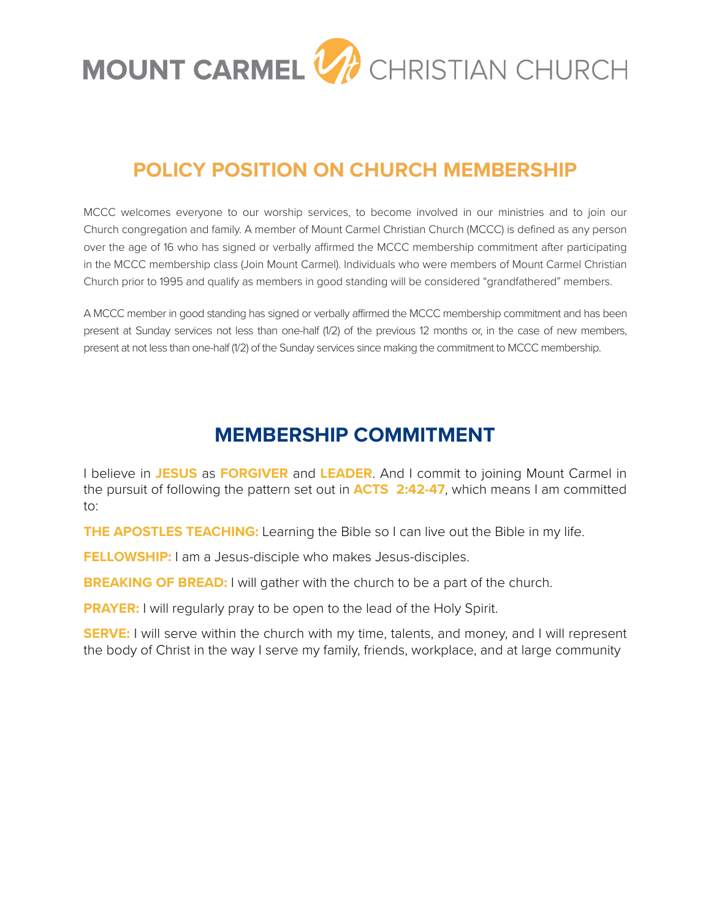

## **POLICY POSITION ON CHURCH MEMBERSHIP**

MCCC welcomes everyone to our worship services, to become involved in our ministries and to join our Church congregation and family. A member of Mount Carmel Christian Church (MCCC) is defined as any person over the age of 16 who has signed or verbally affirmed the MCCC membership commitment after participating in the MCCC membership class (Join Mount Carmel). Individuals who were members of Mount Carmel Christian Church prior to 1995 and qualify as members in good standing will be considered "grandfathered" members.

A MCCC member in good standing has signed or verbally affirmed the MCCC membership commitment and has been present at Sunday services not less than one-half (1/2) of the previous 12 months or, in the case of new members, present at not less than one-half (1/2) of the Sunday services since making the commitment to MCCC membership.

## **MEMBERSHIP COMMITMENT**

I believe in **JESUS** as **FORGIVER** and **LEADER**. And I commit to joining Mount Carmel in the pursuit of following the pattern set out in **ACTS 2:42-47**, which means I am committed to:

**THE APOSTLES TEACHING:** Learning the Bible so I can live out the Bible in my life.

**FELLOWSHIP:** I am a Jesus-disciple who makes Jesus-disciples.

**BREAKING OF BREAD:** I will gather with the church to be a part of the church.

**PRAYER:** I will regularly pray to be open to the lead of the Holy Spirit.

**SERVE:** I will serve within the church with my time, talents, and money, and I will represent the body of Christ in the way I serve my family, friends, workplace, and at large community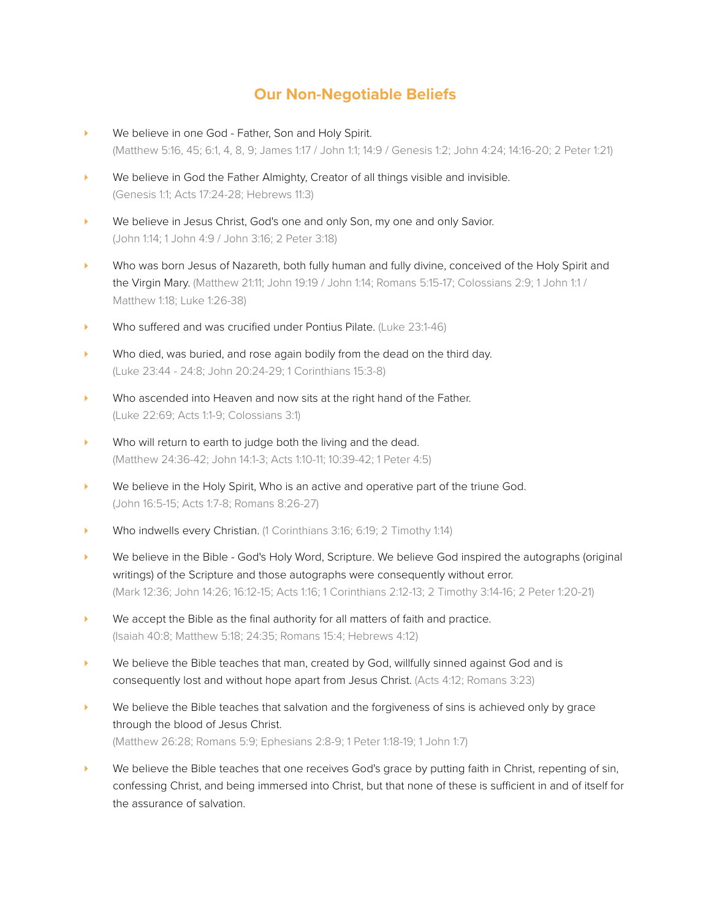## **Our Non-Negotiable Beliefs**

- ‣ We believe in one God Father, Son and Holy Spirit. (Matthew 5:16, 45; 6:1, 4, 8, 9; James 1:17 / John 1:1; 14:9 / Genesis 1:2; John 4:24; 14:16-20; 2 Peter 1:21)
- ‣ We believe in God the Father Almighty, Creator of all things visible and invisible. (Genesis 1:1; Acts 17:24-28; Hebrews 11:3)
- We believe in Jesus Christ, God's one and only Son, my one and only Savior. (John 1:14; 1 John 4:9 / John 3:16; 2 Peter 3:18)
- ‣ Who was born Jesus of Nazareth, both fully human and fully divine, conceived of the Holy Spirit and the Virgin Mary. (Matthew 21:11; John 19:19 / John 1:14; Romans 5:15-17; Colossians 2:9; 1 John 1:1 / Matthew 1:18; Luke 1:26-38)
- Who suffered and was crucified under Pontius Pilate. (Luke 23:1-46)
- ‣ Who died, was buried, and rose again bodily from the dead on the third day. (Luke 23:44 - 24:8; John 20:24-29; 1 Corinthians 15:3-8)
- ‣ Who ascended into Heaven and now sits at the right hand of the Father. (Luke 22:69; Acts 1:1-9; Colossians 3:1)
- Who will return to earth to judge both the living and the dead. (Matthew 24:36-42; John 14:1-3; Acts 1:10-11; 10:39-42; 1 Peter 4:5)
- **•** We believe in the Holy Spirit, Who is an active and operative part of the triune God. (John 16:5-15; Acts 1:7-8; Romans 8:26-27)
- ‣ Who indwells every Christian. (1 Corinthians 3:16; 6:19; 2 Timothy 1:14)
- ‣ We believe in the Bible God's Holy Word, Scripture. We believe God inspired the autographs (original writings) of the Scripture and those autographs were consequently without error. (Mark 12:36; John 14:26; 16:12-15; Acts 1:16; 1 Corinthians 2:12-13; 2 Timothy 3:14-16; 2 Peter 1:20-21)
- $\triangleright$  We accept the Bible as the final authority for all matters of faith and practice. (Isaiah 40:8; Matthew 5:18; 24:35; Romans 15:4; Hebrews 4:12)
- ‣ We believe the Bible teaches that man, created by God, willfully sinned against God and is consequently lost and without hope apart from Jesus Christ. (Acts 4:12; Romans 3:23)
- **EXECT** We believe the Bible teaches that salvation and the forgiveness of sins is achieved only by grace through the blood of Jesus Christ. (Matthew 26:28; Romans 5:9; Ephesians 2:8-9; 1 Peter 1:18-19; 1 John 1:7)
- ‣ We believe the Bible teaches that one receives God's grace by putting faith in Christ, repenting of sin, confessing Christ, and being immersed into Christ, but that none of these is sufficient in and of itself for the assurance of salvation.